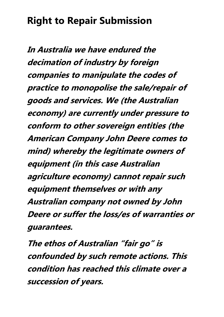**In Australia we have endured the decimation of industry by foreign companies to manipulate the codes of practice to monopolise the sale/repair of goods and services. We (the Australian economy) are currently under pressure to conform to other sovereign entities (the American Company John Deere comes to mind) whereby the legitimate owners of equipment (in this case Australian agriculture economy) cannot repair such equipment themselves or with any Australian company not owned by John Deere or suffer the loss/es of warranties or guarantees.**

**The ethos of Australian "fair go" is confounded by such remote actions. This condition has reached this climate over a succession of years.**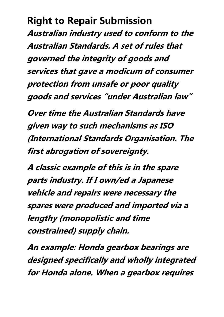**Australian industry used to conform to the Australian Standards. A set of rules that governed the integrity of goods and services that gave a modicum of consumer protection from unsafe or poor quality goods and services "under Australian law"**

**Over time the Australian Standards have given way to such mechanisms as ISO (International Standards Organisation. The first abrogation of sovereignty.**

**A classic example of this is in the spare parts industry. If I own/ed a Japanese vehicle and repairs were necessary the spares were produced and imported via a lengthy (monopolistic and time constrained) supply chain.**

**An example: Honda gearbox bearings are designed specifically and wholly integrated for Honda alone. When a gearbox requires**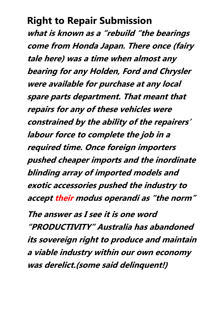**what is known as a "rebuild "the bearings come from Honda Japan. There once (fairy tale here) was a time when almost any bearing for any Holden, Ford and Chrysler were available for purchase at any local spare parts department. That meant that repairs for any of these vehicles were constrained by the ability of the repairers' labour force to complete the job in a required time. Once foreign importers pushed cheaper imports and the inordinate blinding array of imported models and exotic accessories pushed the industry to accept their modus operandi as "the norm"**

**The answer as I see it is one word "PRODUCTIVITY" Australia has abandoned its sovereign right to produce and maintain a viable industry within our own economy was derelict.(some said delinquent!)**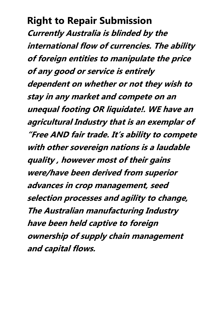**Currently Australia is blinded by the international flow of currencies. The ability of foreign entities to manipulate the price of any good or service is entirely dependent on whether or not they wish to stay in any market and compete on an unequal footing OR liquidate!. WE have an agricultural Industry that is an exemplar of "Free AND fair trade. It's ability to compete with other sovereign nations is a laudable quality , however most of their gains were/have been derived from superior advances in crop management, seed selection processes and agility to change, The Australian manufacturing Industry have been held captive to foreign ownership of supply chain management and capital flows.**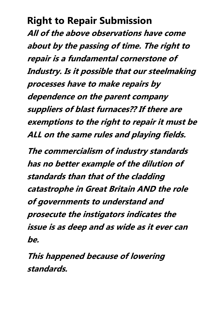**All of the above observations have come about by the passing of time. The right to repair is a fundamental cornerstone of Industry. Is it possible that our steelmaking processes have to make repairs by dependence on the parent company suppliers of blast furnaces?? If there are exemptions to the right to repair it must be ALL on the same rules and playing fields.**

**The commercialism of industry standards has no better example of the dilution of standards than that of the cladding catastrophe in Great Britain AND the role of governments to understand and prosecute the instigators indicates the issue is as deep and as wide as it ever can be.**

**This happened because of lowering standards.**